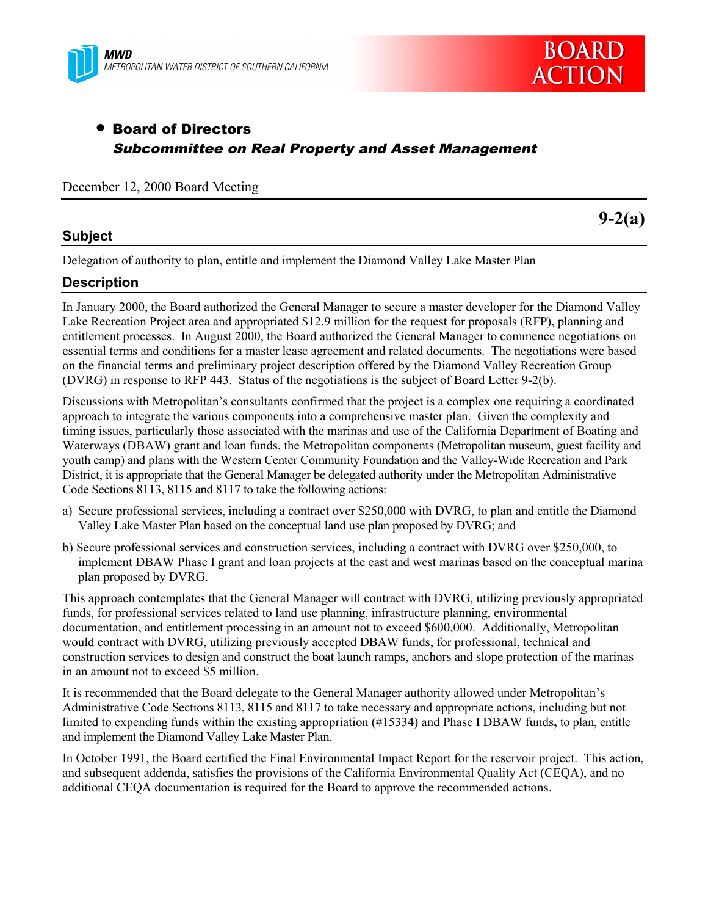



# • Board of Directors Subcommittee on Real Property and Asset Management

December 12, 2000 Board Meeting

# **Subject**

**9-2(a)**

Delegation of authority to plan, entitle and implement the Diamond Valley Lake Master Plan

# **Description**

In January 2000, the Board authorized the General Manager to secure a master developer for the Diamond Valley Lake Recreation Project area and appropriated \$12.9 million for the request for proposals (RFP), planning and entitlement processes. In August 2000, the Board authorized the General Manager to commence negotiations on essential terms and conditions for a master lease agreement and related documents. The negotiations were based on the financial terms and preliminary project description offered by the Diamond Valley Recreation Group (DVRG) in response to RFP 443. Status of the negotiations is the subject of Board Letter 9-2(b).

Discussions with Metropolitan's consultants confirmed that the project is a complex one requiring a coordinated approach to integrate the various components into a comprehensive master plan. Given the complexity and timing issues, particularly those associated with the marinas and use of the California Department of Boating and Waterways (DBAW) grant and loan funds, the Metropolitan components (Metropolitan museum, guest facility and youth camp) and plans with the Western Center Community Foundation and the Valley-Wide Recreation and Park District, it is appropriate that the General Manager be delegated authority under the Metropolitan Administrative Code Sections 8113, 8115 and 8117 to take the following actions:

- a) Secure professional services, including a contract over \$250,000 with DVRG, to plan and entitle the Diamond Valley Lake Master Plan based on the conceptual land use plan proposed by DVRG; and
- b) Secure professional services and construction services, including a contract with DVRG over \$250,000, to implement DBAW Phase I grant and loan projects at the east and west marinas based on the conceptual marina plan proposed by DVRG.

This approach contemplates that the General Manager will contract with DVRG, utilizing previously appropriated funds, for professional services related to land use planning, infrastructure planning, environmental documentation, and entitlement processing in an amount not to exceed \$600,000. Additionally, Metropolitan would contract with DVRG, utilizing previously accepted DBAW funds, for professional, technical and construction services to design and construct the boat launch ramps, anchors and slope protection of the marinas in an amount not to exceed \$5 million.

It is recommended that the Board delegate to the General Manager authority allowed under Metropolitan's Administrative Code Sections 8113, 8115 and 8117 to take necessary and appropriate actions, including but not limited to expending funds within the existing appropriation (#15334) and Phase I DBAW funds**,** to plan, entitle and implement the Diamond Valley Lake Master Plan.

In October 1991, the Board certified the Final Environmental Impact Report for the reservoir project. This action, and subsequent addenda, satisfies the provisions of the California Environmental Quality Act (CEQA), and no additional CEQA documentation is required for the Board to approve the recommended actions.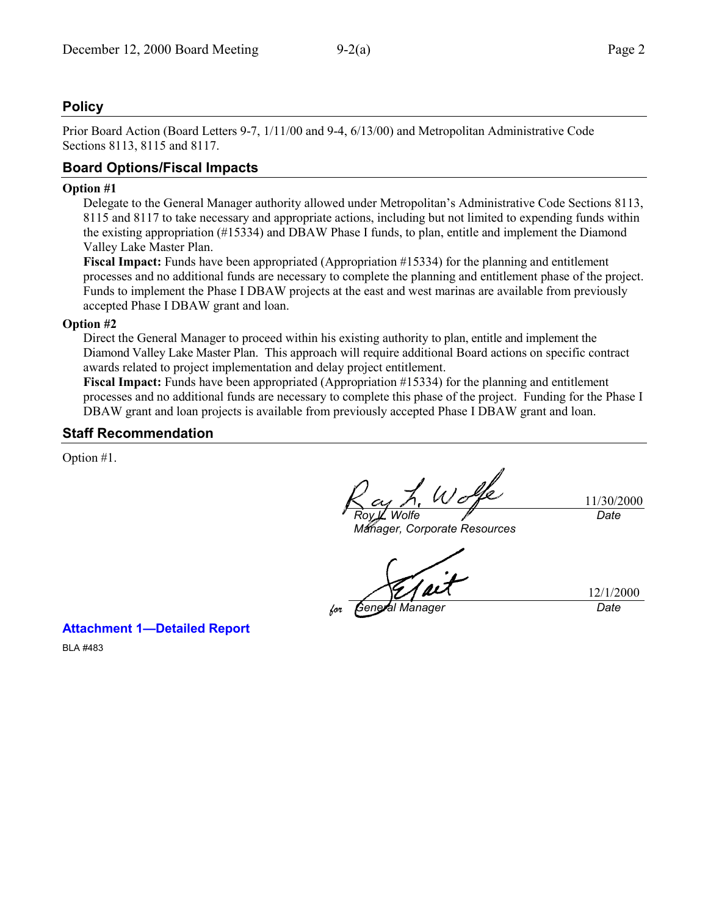# **Policy**

Prior Board Action (Board Letters 9-7, 1/11/00 and 9-4, 6/13/00) and Metropolitan Administrative Code Sections 8113, 8115 and 8117.

# **Board Options/Fiscal Impacts**

#### **Option #1**

Delegate to the General Manager authority allowed under Metropolitan's Administrative Code Sections 8113, 8115 and 8117 to take necessary and appropriate actions, including but not limited to expending funds within the existing appropriation (#15334) and DBAW Phase I funds, to plan, entitle and implement the Diamond Valley Lake Master Plan.

**Fiscal Impact:** Funds have been appropriated (Appropriation #15334) for the planning and entitlement processes and no additional funds are necessary to complete the planning and entitlement phase of the project. Funds to implement the Phase I DBAW projects at the east and west marinas are available from previously accepted Phase I DBAW grant and loan.

#### **Option #2**

Direct the General Manager to proceed within his existing authority to plan, entitle and implement the Diamond Valley Lake Master Plan. This approach will require additional Board actions on specific contract awards related to project implementation and delay project entitlement.

**Fiscal Impact:** Funds have been appropriated (Appropriation #15334) for the planning and entitlement processes and no additional funds are necessary to complete this phase of the project. Funding for the Phase I DBAW grant and loan projects is available from previously accepted Phase I DBAW grant and loan.

### **Staff Recommendation**

Option #1.

*Roy L. Wolfe*

11/30/2000 *Date*

*Manager, Corporate Resources*

*formula Manager* Date

12/1/2000

### **Attachment 1—Detailed Report**

BLA #483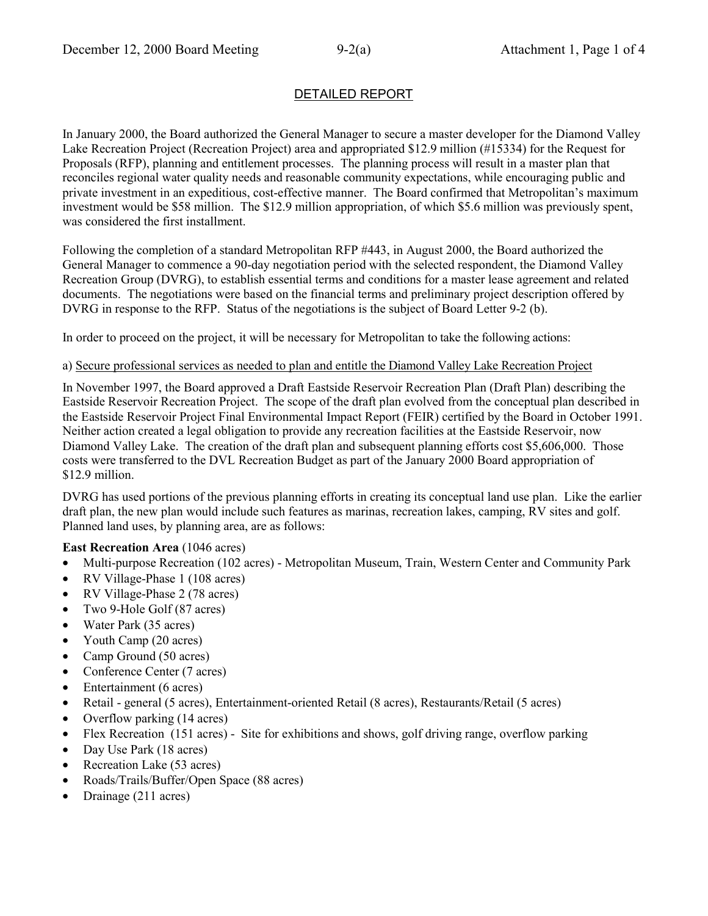# DETAILED REPORT

In January 2000, the Board authorized the General Manager to secure a master developer for the Diamond Valley Lake Recreation Project (Recreation Project) area and appropriated \$12.9 million (#15334) for the Request for Proposals (RFP), planning and entitlement processes. The planning process will result in a master plan that reconciles regional water quality needs and reasonable community expectations, while encouraging public and private investment in an expeditious, cost-effective manner. The Board confirmed that Metropolitan's maximum investment would be \$58 million. The \$12.9 million appropriation, of which \$5.6 million was previously spent, was considered the first installment.

Following the completion of a standard Metropolitan RFP #443, in August 2000, the Board authorized the General Manager to commence a 90-day negotiation period with the selected respondent, the Diamond Valley Recreation Group (DVRG), to establish essential terms and conditions for a master lease agreement and related documents. The negotiations were based on the financial terms and preliminary project description offered by DVRG in response to the RFP. Status of the negotiations is the subject of Board Letter 9-2 (b).

In order to proceed on the project, it will be necessary for Metropolitan to take the following actions:

#### a) Secure professional services as needed to plan and entitle the Diamond Valley Lake Recreation Project

In November 1997, the Board approved a Draft Eastside Reservoir Recreation Plan (Draft Plan) describing the Eastside Reservoir Recreation Project. The scope of the draft plan evolved from the conceptual plan described in the Eastside Reservoir Project Final Environmental Impact Report (FEIR) certified by the Board in October 1991. Neither action created a legal obligation to provide any recreation facilities at the Eastside Reservoir, now Diamond Valley Lake. The creation of the draft plan and subsequent planning efforts cost \$5,606,000. Those costs were transferred to the DVL Recreation Budget as part of the January 2000 Board appropriation of \$12.9 million.

DVRG has used portions of the previous planning efforts in creating its conceptual land use plan. Like the earlier draft plan, the new plan would include such features as marinas, recreation lakes, camping, RV sites and golf. Planned land uses, by planning area, are as follows:

### **East Recreation Area** (1046 acres)

- Multi-purpose Recreation (102 acres) Metropolitan Museum, Train, Western Center and Community Park
- RV Village-Phase 1 (108 acres)
- RV Village-Phase 2 (78 acres)
- Two 9-Hole Golf (87 acres)
- Water Park (35 acres)
- Youth Camp (20 acres)
- Camp Ground (50 acres)
- Conference Center (7 acres)
- Entertainment (6 acres)
- Retail general (5 acres), Entertainment-oriented Retail (8 acres), Restaurants/Retail (5 acres)
- Overflow parking (14 acres)
- Flex Recreation (151 acres) Site for exhibitions and shows, golf driving range, overflow parking
- Day Use Park (18 acres)
- Recreation Lake (53 acres)
- Roads/Trails/Buffer/Open Space (88 acres)
- Drainage (211 acres)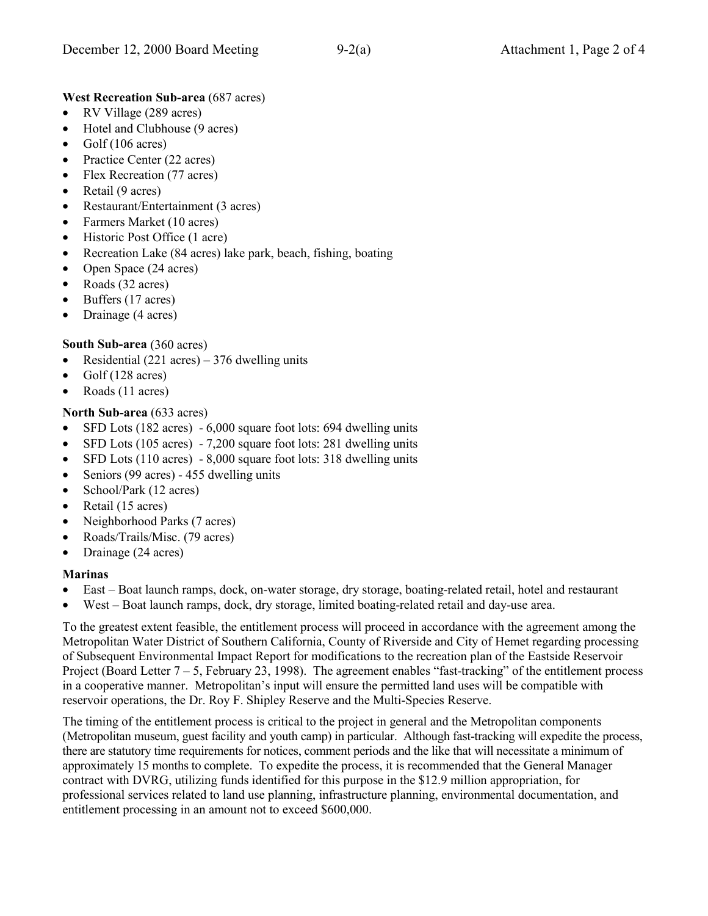### **West Recreation Sub-area** (687 acres)

- RV Village (289 acres)
- Hotel and Clubhouse (9 acres)
- Golf  $(106 \text{ acres})$
- Practice Center (22 acres)
- Flex Recreation (77 acres)
- Retail (9 acres)
- Restaurant/Entertainment (3 acres)
- Farmers Market (10 acres)
- Historic Post Office (1 acre)
- Recreation Lake (84 acres) lake park, beach, fishing, boating
- Open Space (24 acres)
- Roads (32 acres)
- Buffers (17 acres)
- Drainage (4 acres)

### **South Sub-area** (360 acres)

- Residential (221 acres) 376 dwelling units
- Golf (128 acres)
- Roads (11 acres)

### **North Sub-area** (633 acres)

- SFD Lots (182 acres) 6,000 square foot lots: 694 dwelling units
- SFD Lots (105 acres) 7,200 square foot lots: 281 dwelling units
- SFD Lots (110 acres) 8,000 square foot lots: 318 dwelling units
- Seniors (99 acres) 455 dwelling units
- School/Park (12 acres)
- Retail (15 acres)
- Neighborhood Parks (7 acres)
- Roads/Trails/Misc. (79 acres)
- Drainage (24 acres)

### **Marinas**

- East Boat launch ramps, dock, on-water storage, dry storage, boating-related retail, hotel and restaurant
- West Boat launch ramps, dock, dry storage, limited boating-related retail and day-use area.

To the greatest extent feasible, the entitlement process will proceed in accordance with the agreement among the Metropolitan Water District of Southern California, County of Riverside and City of Hemet regarding processing of Subsequent Environmental Impact Report for modifications to the recreation plan of the Eastside Reservoir Project (Board Letter  $7 - 5$ , February 23, 1998). The agreement enables "fast-tracking" of the entitlement process in a cooperative manner. Metropolitan's input will ensure the permitted land uses will be compatible with reservoir operations, the Dr. Roy F. Shipley Reserve and the Multi-Species Reserve.

The timing of the entitlement process is critical to the project in general and the Metropolitan components (Metropolitan museum, guest facility and youth camp) in particular. Although fast-tracking will expedite the process, there are statutory time requirements for notices, comment periods and the like that will necessitate a minimum of approximately 15 months to complete. To expedite the process, it is recommended that the General Manager contract with DVRG, utilizing funds identified for this purpose in the \$12.9 million appropriation, for professional services related to land use planning, infrastructure planning, environmental documentation, and entitlement processing in an amount not to exceed \$600,000.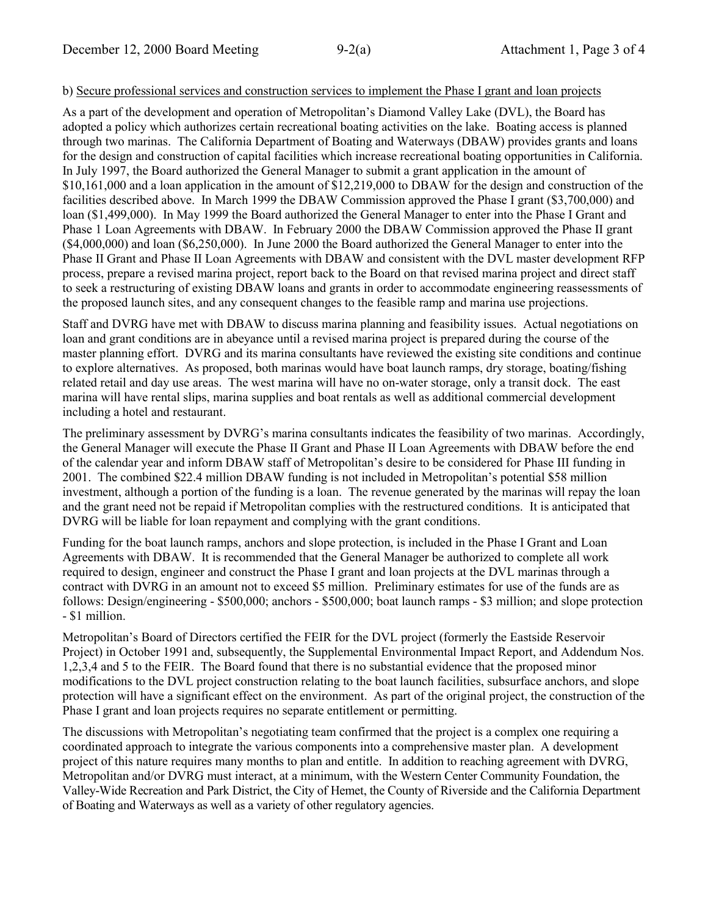#### b) Secure professional services and construction services to implement the Phase I grant and loan projects

As a part of the development and operation of Metropolitan's Diamond Valley Lake (DVL), the Board has adopted a policy which authorizes certain recreational boating activities on the lake. Boating access is planned through two marinas. The California Department of Boating and Waterways (DBAW) provides grants and loans for the design and construction of capital facilities which increase recreational boating opportunities in California. In July 1997, the Board authorized the General Manager to submit a grant application in the amount of \$10,161,000 and a loan application in the amount of \$12,219,000 to DBAW for the design and construction of the facilities described above. In March 1999 the DBAW Commission approved the Phase I grant (\$3,700,000) and loan (\$1,499,000). In May 1999 the Board authorized the General Manager to enter into the Phase I Grant and Phase 1 Loan Agreements with DBAW. In February 2000 the DBAW Commission approved the Phase II grant (\$4,000,000) and loan (\$6,250,000). In June 2000 the Board authorized the General Manager to enter into the Phase II Grant and Phase II Loan Agreements with DBAW and consistent with the DVL master development RFP process, prepare a revised marina project, report back to the Board on that revised marina project and direct staff to seek a restructuring of existing DBAW loans and grants in order to accommodate engineering reassessments of the proposed launch sites, and any consequent changes to the feasible ramp and marina use projections.

Staff and DVRG have met with DBAW to discuss marina planning and feasibility issues. Actual negotiations on loan and grant conditions are in abeyance until a revised marina project is prepared during the course of the master planning effort. DVRG and its marina consultants have reviewed the existing site conditions and continue to explore alternatives. As proposed, both marinas would have boat launch ramps, dry storage, boating/fishing related retail and day use areas. The west marina will have no on-water storage, only a transit dock. The east marina will have rental slips, marina supplies and boat rentals as well as additional commercial development including a hotel and restaurant.

The preliminary assessment by DVRG's marina consultants indicates the feasibility of two marinas. Accordingly, the General Manager will execute the Phase II Grant and Phase II Loan Agreements with DBAW before the end of the calendar year and inform DBAW staff of Metropolitan's desire to be considered for Phase III funding in 2001. The combined \$22.4 million DBAW funding is not included in Metropolitan's potential \$58 million investment, although a portion of the funding is a loan. The revenue generated by the marinas will repay the loan and the grant need not be repaid if Metropolitan complies with the restructured conditions. It is anticipated that DVRG will be liable for loan repayment and complying with the grant conditions.

Funding for the boat launch ramps, anchors and slope protection, is included in the Phase I Grant and Loan Agreements with DBAW. It is recommended that the General Manager be authorized to complete all work required to design, engineer and construct the Phase I grant and loan projects at the DVL marinas through a contract with DVRG in an amount not to exceed \$5 million. Preliminary estimates for use of the funds are as follows: Design/engineering - \$500,000; anchors - \$500,000; boat launch ramps - \$3 million; and slope protection - \$1 million.

Metropolitan's Board of Directors certified the FEIR for the DVL project (formerly the Eastside Reservoir Project) in October 1991 and, subsequently, the Supplemental Environmental Impact Report, and Addendum Nos. 1,2,3,4 and 5 to the FEIR. The Board found that there is no substantial evidence that the proposed minor modifications to the DVL project construction relating to the boat launch facilities, subsurface anchors, and slope protection will have a significant effect on the environment. As part of the original project, the construction of the Phase I grant and loan projects requires no separate entitlement or permitting.

The discussions with Metropolitan's negotiating team confirmed that the project is a complex one requiring a coordinated approach to integrate the various components into a comprehensive master plan. A development project of this nature requires many months to plan and entitle. In addition to reaching agreement with DVRG, Metropolitan and/or DVRG must interact, at a minimum, with the Western Center Community Foundation, the Valley-Wide Recreation and Park District, the City of Hemet, the County of Riverside and the California Department of Boating and Waterways as well as a variety of other regulatory agencies.